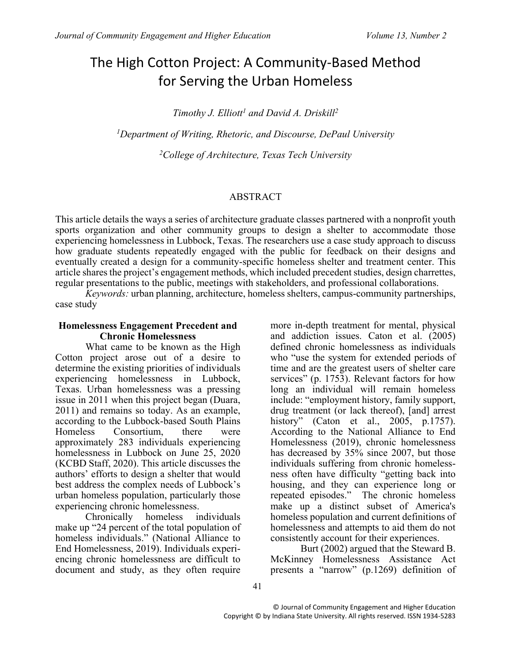# The High Cotton Project: A Community-Based Method for Serving the Urban Homeless

*Timothy J. Elliott<sup>1</sup> and David A. Driskill<sup>2</sup>*

*<sup>1</sup>Department of Writing, Rhetoric, and Discourse, DePaul University*

*<sup>2</sup>College of Architecture, Texas Tech University*

#### ABSTRACT

This article details the ways a series of architecture graduate classes partnered with a nonprofit youth sports organization and other community groups to design a shelter to accommodate those experiencing homelessness in Lubbock, Texas. The researchers use a case study approach to discuss how graduate students repeatedly engaged with the public for feedback on their designs and eventually created a design for a community-specific homeless shelter and treatment center. This article shares the project's engagement methods, which included precedent studies, design charrettes, regular presentations to the public, meetings with stakeholders, and professional collaborations.

*Keywords:* urban planning, architecture, homeless shelters, campus-community partnerships, case study

#### **Homelessness Engagement Precedent and Chronic Homelessness**

What came to be known as the High Cotton project arose out of a desire to determine the existing priorities of individuals experiencing homelessness in Lubbock, Texas. Urban homelessness was a pressing issue in 2011 when this project began (Duara, 2011) and remains so today. As an example, according to the Lubbock-based South Plains Homeless Consortium, there were approximately 283 individuals experiencing homelessness in Lubbock on June 25, 2020 (KCBD Staff, 2020). This article discusses the authors' efforts to design a shelter that would best address the complex needs of Lubbock's urban homeless population, particularly those experiencing chronic homelessness.<br>Chronically homeless in

Chronically homeless individuals make up "24 percent of the total population of homeless individuals." (National Alliance to End Homelessness, 2019). Individuals experiencing chronic homelessness are difficult to document and study, as they often require

more in-depth treatment for mental, physical and addiction issues. Caton et al. (2005) defined chronic homelessness as individuals who "use the system for extended periods of time and are the greatest users of shelter care services" (p. 1753). Relevant factors for how long an individual will remain homeless include: "employment history, family support, drug treatment (or lack thereof), [and] arrest history" (Caton et al., 2005, p.1757). According to the National Alliance to End Homelessness (2019), chronic homelessness has decreased by 35% since 2007, but those individuals suffering from chronic homelessness often have difficulty "getting back into housing, and they can experience long or repeated episodes." The chronic homeless make up a distinct subset of America's homeless population and current definitions of homelessness and attempts to aid them do not consistently account for their experiences.

Burt (2002) argued that the Steward B. McKinney Homelessness Assistance Act presents a "narrow" (p.1269) definition of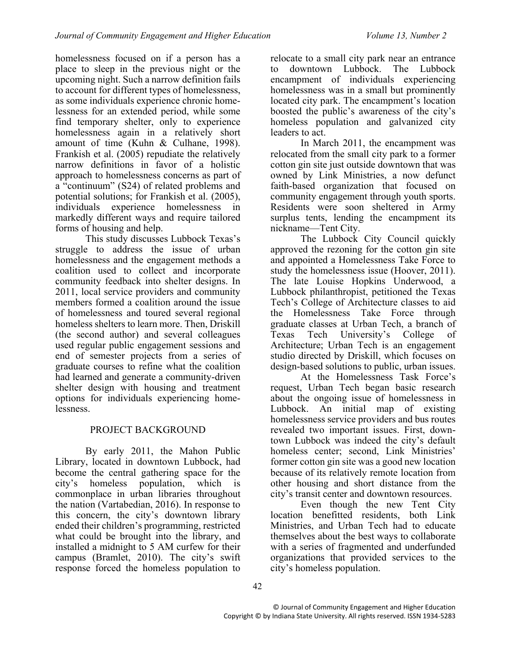homelessness focused on if a person has a place to sleep in the previous night or the upcoming night. Such a narrow definition fails to account for different types of homelessness, as some individuals experience chronic homelessness for an extended period, while some find temporary shelter, only to experience homelessness again in a relatively short amount of time (Kuhn & Culhane, 1998). Frankish et al. (2005) repudiate the relatively narrow definitions in favor of a holistic approach to homelessness concerns as part of a "continuum" (S24) of related problems and potential solutions; for Frankish et al. (2005), individuals experience homelessness in markedly different ways and require tailored forms of housing and help.

This study discusses Lubbock Texas's struggle to address the issue of urban homelessness and the engagement methods a coalition used to collect and incorporate community feedback into shelter designs. In 2011, local service providers and community members formed a coalition around the issue of homelessness and toured several regional homeless shelters to learn more. Then, Driskill (the second author) and several colleagues used regular public engagement sessions and end of semester projects from a series of graduate courses to refine what the coalition had learned and generate a community-driven shelter design with housing and treatment options for individuals experiencing homelessness.

# PROJECT BACKGROUND

By early 2011, the Mahon Public Library, located in downtown Lubbock, had become the central gathering space for the city's homeless population, which is commonplace in urban libraries throughout the nation (Vartabedian, 2016). In response to this concern, the city's downtown library ended their children's programming, restricted what could be brought into the library, and installed a midnight to 5 AM curfew for their campus (Bramlet, 2010). The city's swift response forced the homeless population to

relocate to a small city park near an entrance to downtown Lubbock. The Lubbock encampment of individuals experiencing homelessness was in a small but prominently located city park. The encampment's location boosted the public's awareness of the city's homeless population and galvanized city leaders to act.

In March 2011, the encampment was relocated from the small city park to a former cotton gin site just outside downtown that was owned by Link Ministries, a now defunct faith-based organization that focused on community engagement through youth sports. Residents were soon sheltered in Army surplus tents, lending the encampment its nickname—Tent City.

The Lubbock City Council quickly approved the rezoning for the cotton gin site and appointed a Homelessness Take Force to study the homelessness issue (Hoover, 2011). The late Louise Hopkins Underwood, a Lubbock philanthropist, petitioned the Texas Tech's College of Architecture classes to aid the Homelessness Take Force through graduate classes at Urban Tech, a branch of Texas Tech University's College of Architecture; Urban Tech is an engagement studio directed by Driskill, which focuses on design-based solutions to public, urban issues.

At the Homelessness Task Force's request, Urban Tech began basic research about the ongoing issue of homelessness in Lubbock. An initial map of existing homelessness service providers and bus routes revealed two important issues. First, downtown Lubbock was indeed the city's default homeless center; second, Link Ministries' former cotton gin site was a good new location because of its relatively remote location from other housing and short distance from the city's transit center and downtown resources.

Even though the new Tent City location benefitted residents, both Link Ministries, and Urban Tech had to educate themselves about the best ways to collaborate with a series of fragmented and underfunded organizations that provided services to the city's homeless population.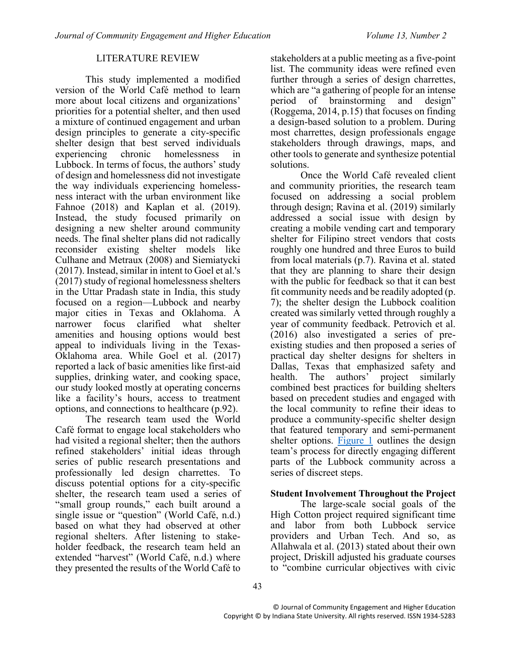## LITERATURE REVIEW

This study implemented a modified version of the World Café method to learn more about local citizens and organizations' priorities for a potential shelter, and then used a mixture of continued engagement and urban design principles to generate a city-specific shelter design that best served individuals experiencing chronic homelessness in Lubbock. In terms of focus, the authors' study of design and homelessness did not investigate the way individuals experiencing homelessness interact with the urban environment like Fahnoe (2018) and Kaplan et al. (2019). Instead, the study focused primarily on designing a new shelter around community needs. The final shelter plans did not radically reconsider existing shelter models like Culhane and Metraux (2008) and Siemiatycki (2017). Instead, similar in intent to Goel et al.'s (2017) study of regional homelessness shelters in the Uttar Pradash state in India, this study focused on a region—Lubbock and nearby major cities in Texas and Oklahoma. A narrower focus clarified what shelter amenities and housing options would best appeal to individuals living in the Texas-Oklahoma area. While Goel et al. (2017) reported a lack of basic amenities like first-aid supplies, drinking water, and cooking space, our study looked mostly at operating concerns like a facility's hours, access to treatment options, and connections to healthcare (p.92).

The research team used the World Café format to engage local stakeholders who had visited a regional shelter; then the authors refined stakeholders' initial ideas through series of public research presentations and professionally led design charrettes. To discuss potential options for a city-specific shelter, the research team used a series of "small group rounds," each built around a single issue or "question" (World Café, n.d.) based on what they had observed at other regional shelters. After listening to stakeholder feedback, the research team held an extended "harvest" (World Café, n.d.) where they presented the results of the World Café to stakeholders at a public meeting as a five-point list. The community ideas were refined even further through a series of design charrettes, which are "a gathering of people for an intense period of brainstorming and design" (Roggema, 2014, p.15) that focuses on finding a design-based solution to a problem. During most charrettes, design professionals engage stakeholders through drawings, maps, and other tools to generate and synthesize potential solutions.

Once the World Café revealed client and community priorities, the research team focused on addressing a social problem through design; Ravina et al. (2019) similarly addressed a social issue with design by creating a mobile vending cart and temporary shelter for Filipino street vendors that costs roughly one hundred and three Euros to build from local materials (p.7). Ravina et al. stated that they are planning to share their design with the public for feedback so that it can best fit community needs and be readily adopted (p. 7); the shelter design the Lubbock coalition created was similarly vetted through roughly a year of community feedback. Petrovich et al. (2016) also investigated a series of preexisting studies and then proposed a series of practical day shelter designs for shelters in Dallas, Texas that emphasized safety and<br>health. The authors' project similarly project similarly combined best practices for building shelters based on precedent studies and engaged with the local community to refine their ideas to produce a community-specific shelter design that featured temporary and semi-permanent shelter options. [Figure 1](#page-3-0) outlines the design team's process for directly engaging different parts of the Lubbock community across a series of discreet steps.

## **Student Involvement Throughout the Project**

The large-scale social goals of the High Cotton project required significant time and labor from both Lubbock service providers and Urban Tech. And so, as Allahwala et al. (2013) stated about their own project, Driskill adjusted his graduate courses to "combine curricular objectives with civic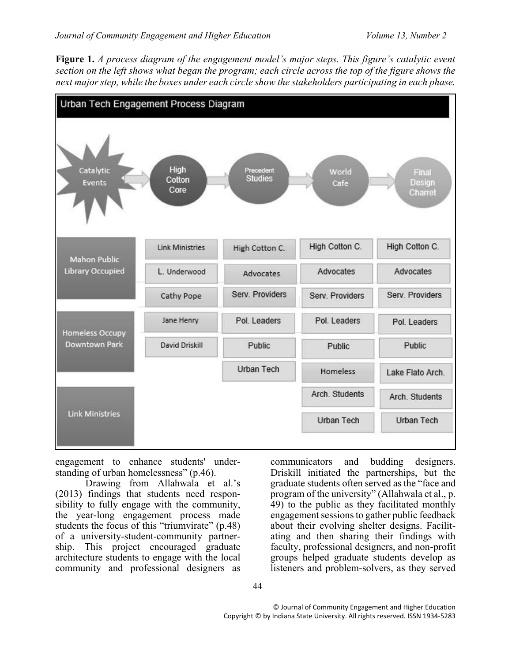<span id="page-3-0"></span>**Figure 1.** *A process diagram of the engagement model's major steps. This figure's catalytic event section on the left shows what began the program; each circle across the top of the figure shows the next major step, while the boxes under each circle show the stakeholders participating in each phase.*



engagement to enhance students' understanding of urban homelessness" (p.46).

Drawing from Allahwala et al.'s (2013) findings that students need responsibility to fully engage with the community, the year-long engagement process made students the focus of this "triumvirate" (p.48) of a university-student-community partnership. This project encouraged graduate architecture students to engage with the local community and professional designers as

communicators and budding designers. Driskill initiated the partnerships, but the graduate students often served as the "face and program of the university" (Allahwala et al., p. 49) to the public as they facilitated monthly engagement sessions to gather public feedback about their evolving shelter designs. Facilitating and then sharing their findings with faculty, professional designers, and non-profit groups helped graduate students develop as listeners and problem-solvers, as they served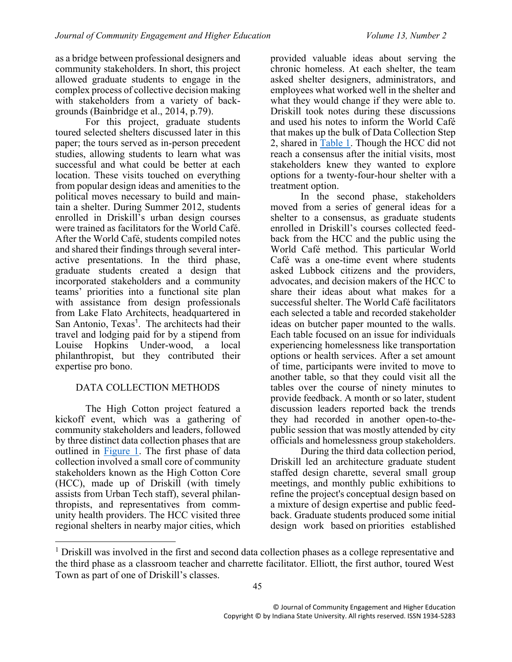as a bridge between professional designers and community stakeholders. In short, this project allowed graduate students to engage in the complex process of collective decision making with stakeholders from a variety of backgrounds (Bainbridge et al., 2014, p.79).

For this project, graduate students toured selected shelters discussed later in this paper; the tours served as in-person precedent studies, allowing students to learn what was successful and what could be better at each location. These visits touched on everything from popular design ideas and amenities to the political moves necessary to build and maintain a shelter. During Summer 2012, students enrolled in Driskill's urban design courses were trained as facilitators for the World Café. After the World Café, students compiled notes and shared their findings through several interactive presentations. In the third phase, graduate students created a design that incorporated stakeholders and a community teams' priorities into a functional site plan with assistance from design professionals from Lake Flato Architects, headquartered in San Antonio, Texas<sup>1</sup>. The architects had their travel and lodging paid for by a stipend from Louise Hopkins Under-wood, a local philanthropist, but they contributed their expertise pro bono.

# DATA COLLECTION METHODS

The High Cotton project featured a kickoff event, which was a gathering of community stakeholders and leaders, followed by three distinct data collection phases that are outlined in [Figure 1.](#page-3-0) The first phase of data collection involved a small core of community stakeholders known as the High Cotton Core (HCC), made up of Driskill (with timely assists from Urban Tech staff), several philanthropists, and representatives from community health providers. The HCC visited three regional shelters in nearby major cities, which

 $\overline{a}$ 

provided valuable ideas about serving the chronic homeless. At each shelter, the team asked shelter designers, administrators, and employees what worked well in the shelter and what they would change if they were able to. Driskill took notes during these discussions and used his notes to inform the World Café that makes up the bulk of Data Collection Step 2, shared in [Table 1.](#page-5-0) Though the HCC did not reach a consensus after the initial visits, most stakeholders knew they wanted to explore options for a twenty-four-hour shelter with a treatment option.

In the second phase, stakeholders moved from a series of general ideas for a shelter to a consensus, as graduate students enrolled in Driskill's courses collected feedback from the HCC and the public using the World Café method. This particular World Café was a one-time event where students asked Lubbock citizens and the providers, advocates, and decision makers of the HCC to share their ideas about what makes for a successful shelter. The World Café facilitators each selected a table and recorded stakeholder ideas on butcher paper mounted to the walls. Each table focused on an issue for individuals experiencing homelessness like transportation options or health services. After a set amount of time, participants were invited to move to another table, so that they could visit all the tables over the course of ninety minutes to provide feedback. A month or so later, student discussion leaders reported back the trends they had recorded in another open-to-thepublic session that was mostly attended by city officials and homelessness group stakeholders.

During the third data collection period, Driskill led an architecture graduate student staffed design charette, several small group meetings, and monthly public exhibitions to refine the project's conceptual design based on a mixture of design expertise and public feedback. Graduate students produced some initial design work based on priorities established

<sup>&</sup>lt;sup>1</sup> Driskill was involved in the first and second data collection phases as a college representative and the third phase as a classroom teacher and charrette facilitator. Elliott, the first author, toured West Town as part of one of Driskill's classes.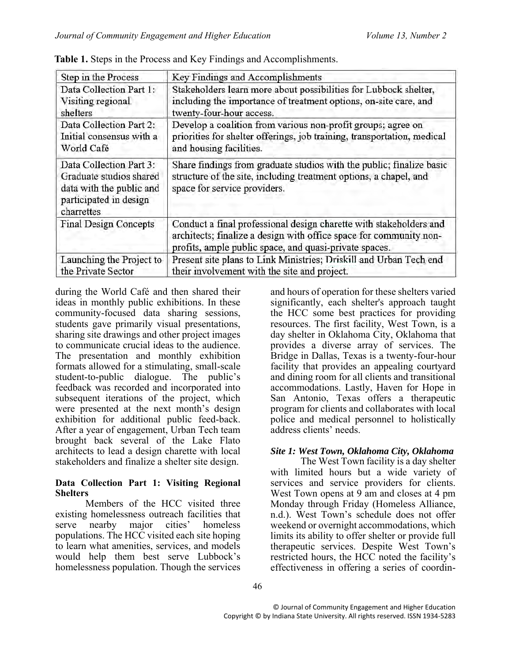| Step in the Process                                                                                                    | Key Findings and Accomplishments                                                                                                                                                                   |  |  |
|------------------------------------------------------------------------------------------------------------------------|----------------------------------------------------------------------------------------------------------------------------------------------------------------------------------------------------|--|--|
| Data Collection Part 1:                                                                                                | Stakeholders learn more about possibilities for Lubbock shelter,                                                                                                                                   |  |  |
| Visiting regional                                                                                                      | including the importance of treatment options, on-site care, and                                                                                                                                   |  |  |
| shelters                                                                                                               | twenty-four-hour access.                                                                                                                                                                           |  |  |
| Data Collection Part 2:                                                                                                | Develop a coalition from various non-profit groups; agree on                                                                                                                                       |  |  |
| Initial consensus with a                                                                                               | priorities for shelter offerings, job training, transportation, medical                                                                                                                            |  |  |
| World Café                                                                                                             | and housing facilities.                                                                                                                                                                            |  |  |
| Data Collection Part 3:<br>Graduate studios shared<br>data with the public and<br>participated in design<br>charrettes | Share findings from graduate studios with the public; finalize basic<br>structure of the site, including treatment options, a chapel, and<br>space for service providers.                          |  |  |
| Final Design Concepts                                                                                                  | Conduct a final professional design charette with stakeholders and<br>architects; finalize a design with office space for community non-<br>profits, ample public space, and quasi-private spaces. |  |  |
| Launching the Project to                                                                                               | Present site plans to Link Ministries; Driskill and Urban Tech end                                                                                                                                 |  |  |
| the Private Sector                                                                                                     | their involvement with the site and project.                                                                                                                                                       |  |  |

<span id="page-5-0"></span>**Table 1.** Steps in the Process and Key Findings and Accomplishments.

during the World Café and then shared their ideas in monthly public exhibitions. In these community-focused data sharing sessions, students gave primarily visual presentations, sharing site drawings and other project images to communicate crucial ideas to the audience. The presentation and monthly exhibition formats allowed for a stimulating, small-scale student-to-public dialogue. The public's feedback was recorded and incorporated into subsequent iterations of the project, which were presented at the next month's design exhibition for additional public feed-back. After a year of engagement, Urban Tech team brought back several of the Lake Flato architects to lead a design charette with local stakeholders and finalize a shelter site design.

## **Data Collection Part 1: Visiting Regional Shelters**

Members of the HCC visited three existing homelessness outreach facilities that serve nearby major cities' homeless populations. The HCC visited each site hoping to learn what amenities, services, and models would help them best serve Lubbock's homelessness population. Though the services

and hours of operation for these shelters varied significantly, each shelter's approach taught the HCC some best practices for providing resources. The first facility, West Town, is a day shelter in Oklahoma City, Oklahoma that provides a diverse array of services. The Bridge in Dallas, Texas is a twenty-four-hour facility that provides an appealing courtyard and dining room for all clients and transitional accommodations. Lastly, Haven for Hope in San Antonio, Texas offers a therapeutic program for clients and collaborates with local police and medical personnel to holistically address clients' needs.

# *Site 1: West Town, Oklahoma City, Oklahoma*

The West Town facility is a day shelter with limited hours but a wide variety of services and service providers for clients. West Town opens at 9 am and closes at 4 pm Monday through Friday (Homeless Alliance, n.d.). West Town's schedule does not offer weekend or overnight accommodations, which limits its ability to offer shelter or provide full therapeutic services. Despite West Town's restricted hours, the HCC noted the facility's effectiveness in offering a series of coordin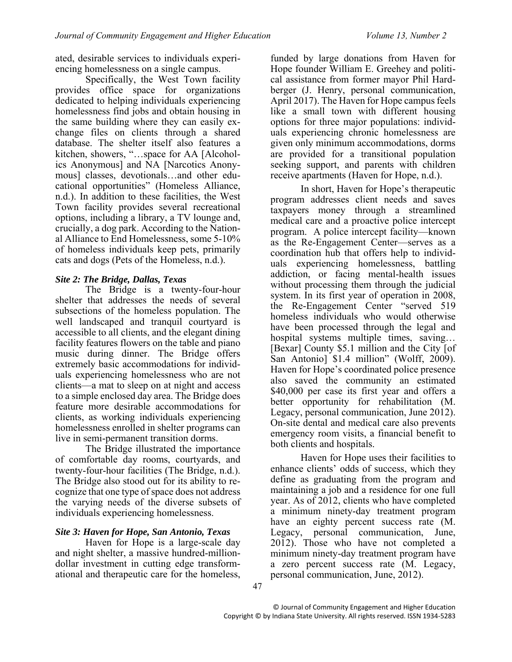ated, desirable services to individuals experiencing homelessness on a single campus.

Specifically, the West Town facility provides office space for organizations dedicated to helping individuals experiencing homelessness find jobs and obtain housing in the same building where they can easily exchange files on clients through a shared database. The shelter itself also features a kitchen, showers, "…space for AA [Alcoholics Anonymous] and NA [Narcotics Anonymous] classes, devotionals…and other educational opportunities" (Homeless Alliance, n.d.). In addition to these facilities, the West Town facility provides several recreational options, including a library, a TV lounge and, crucially, a dog park. According to the National Alliance to End Homelessness, some 5-10% of homeless individuals keep pets, primarily cats and dogs (Pets of the Homeless, n.d.).

## *Site 2: The Bridge, Dallas, Texas*

The Bridge is a twenty-four-hour shelter that addresses the needs of several subsections of the homeless population. The well landscaped and tranquil courtyard is accessible to all clients, and the elegant dining facility features flowers on the table and piano music during dinner. The Bridge offers extremely basic accommodations for individuals experiencing homelessness who are not clients—a mat to sleep on at night and access to a simple enclosed day area. The Bridge does feature more desirable accommodations for clients, as working individuals experiencing homelessness enrolled in shelter programs can live in semi-permanent transition dorms.

The Bridge illustrated the importance of comfortable day rooms, courtyards, and twenty-four-hour facilities (The Bridge, n.d.). The Bridge also stood out for its ability to recognize that one type of space does not address the varying needs of the diverse subsets of individuals experiencing homelessness.

## *Site 3: Haven for Hope, San Antonio, Texas*

Haven for Hope is a large-scale day and night shelter, a massive hundred-milliondollar investment in cutting edge transformational and therapeutic care for the homeless,

funded by large donations from Haven for Hope founder William E. Greehey and political assistance from former mayor Phil Hardberger (J. Henry, personal communication, April 2017). The Haven for Hope campus feels like a small town with different housing options for three major populations: individuals experiencing chronic homelessness are given only minimum accommodations, dorms are provided for a transitional population seeking support, and parents with children receive apartments (Haven for Hope, n.d.).

In short, Haven for Hope's therapeutic program addresses client needs and saves taxpayers money through a streamlined medical care and a proactive police intercept program. A police intercept facility—known as the Re-Engagement Center—serves as a coordination hub that offers help to individuals experiencing homelessness, battling addiction, or facing mental-health issues without processing them through the judicial system. In its first year of operation in 2008, the Re-Engagement Center "served 519 homeless individuals who would otherwise have been processed through the legal and hospital systems multiple times, saving... [Bexar] County \$5.1 million and the City [of San Antonio] \$1.4 million" (Wolff, 2009). Haven for Hope's coordinated police presence also saved the community an estimated \$40,000 per case its first year and offers a better opportunity for rehabilitation (M. Legacy, personal communication, June 2012). On-site dental and medical care also prevents emergency room visits, a financial benefit to both clients and hospitals.

Haven for Hope uses their facilities to enhance clients' odds of success, which they define as graduating from the program and maintaining a job and a residence for one full year. As of 2012, clients who have completed a minimum ninety-day treatment program have an eighty percent success rate (M. Legacy, personal communication, June, 2012). Those who have not completed a minimum ninety-day treatment program have a zero percent success rate (M. Legacy, personal communication, June, 2012).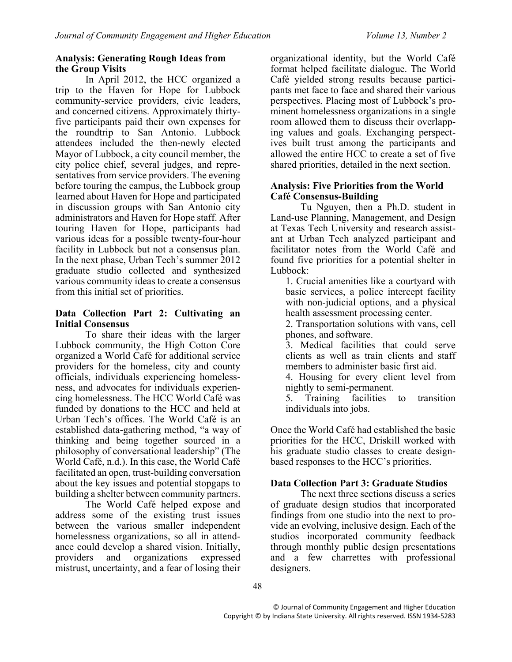## **Analysis: Generating Rough Ideas from the Group Visits**

In April 2012, the HCC organized a trip to the Haven for Hope for Lubbock community-service providers, civic leaders, and concerned citizens. Approximately thirtyfive participants paid their own expenses for the roundtrip to San Antonio. Lubbock attendees included the then-newly elected Mayor of Lubbock, a city council member, the city police chief, several judges, and representatives from service providers. The evening before touring the campus, the Lubbock group learned about Haven for Hope and participated in discussion groups with San Antonio city administrators and Haven for Hope staff. After touring Haven for Hope, participants had various ideas for a possible twenty-four-hour facility in Lubbock but not a consensus plan. In the next phase, Urban Tech's summer 2012 graduate studio collected and synthesized various community ideas to create a consensus from this initial set of priorities.

## **Data Collection Part 2: Cultivating an Initial Consensus**

To share their ideas with the larger Lubbock community, the High Cotton Core organized a World Café for additional service providers for the homeless, city and county officials, individuals experiencing homelessness, and advocates for individuals experiencing homelessness. The HCC World Café was funded by donations to the HCC and held at Urban Tech's offices. The World Café is an established data-gathering method, "a way of thinking and being together sourced in a philosophy of conversational leadership" (The World Café, n.d.). In this case, the World Café facilitated an open, trust-building conversation about the key issues and potential stopgaps to building a shelter between community partners.

The World Café helped expose and address some of the existing trust issues between the various smaller independent homelessness organizations, so all in attendance could develop a shared vision. Initially,<br>providers and organizations expressed organizations expressed mistrust, uncertainty, and a fear of losing their

organizational identity, but the World Café format helped facilitate dialogue. The World Café yielded strong results because participants met face to face and shared their various perspectives. Placing most of Lubbock's prominent homelessness organizations in a single room allowed them to discuss their overlapping values and goals. Exchanging perspectives built trust among the participants and allowed the entire HCC to create a set of five shared priorities, detailed in the next section.

## **Analysis: Five Priorities from the World Café Consensus-Building**

Tu Nguyen, then a Ph.D. student in Land-use Planning, Management, and Design at Texas Tech University and research assistant at Urban Tech analyzed participant and facilitator notes from the World Café and found five priorities for a potential shelter in Lubbock:

1. Crucial amenities like a courtyard with basic services, a police intercept facility with non-judicial options, and a physical health assessment processing center.

2. Transportation solutions with vans, cell phones, and software.

3. Medical facilities that could serve clients as well as train clients and staff members to administer basic first aid.

4. Housing for every client level from nightly to semi-permanent.

5. Training facilities to transition individuals into jobs.

Once the World Café had established the basic priorities for the HCC, Driskill worked with his graduate studio classes to create designbased responses to the HCC's priorities.

# **Data Collection Part 3: Graduate Studios**

The next three sections discuss a series of graduate design studios that incorporated findings from one studio into the next to provide an evolving, inclusive design. Each of the studios incorporated community feedback through monthly public design presentations and a few charrettes with professional designers.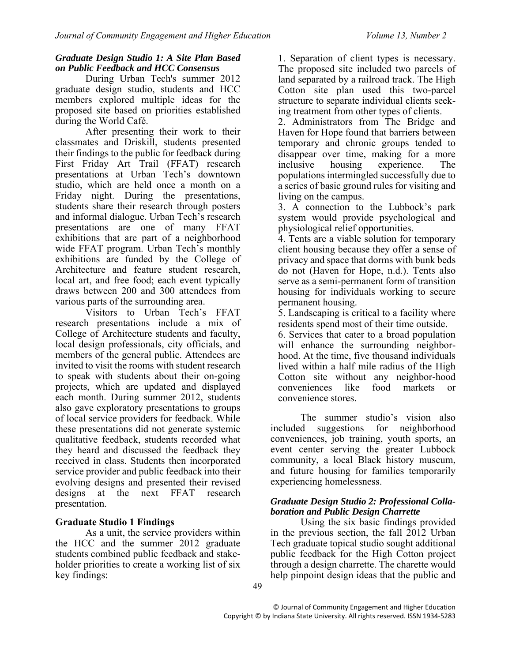#### *Graduate Design Studio 1: A Site Plan Based on Public Feedback and HCC Consensus*

During Urban Tech's summer 2012 graduate design studio, students and HCC members explored multiple ideas for the proposed site based on priorities established during the World Café.

After presenting their work to their classmates and Driskill, students presented their findings to the public for feedback during First Friday Art Trail (FFAT) research presentations at Urban Tech's downtown studio, which are held once a month on a Friday night. During the presentations, students share their research through posters and informal dialogue. Urban Tech's research presentations are one of many FFAT exhibitions that are part of a neighborhood wide FFAT program. Urban Tech's monthly exhibitions are funded by the College of Architecture and feature student research, local art, and free food; each event typically draws between 200 and 300 attendees from various parts of the surrounding area.

Visitors to Urban Tech's FFAT research presentations include a mix of College of Architecture students and faculty, local design professionals, city officials, and members of the general public. Attendees are invited to visit the rooms with student research to speak with students about their on-going projects, which are updated and displayed each month. During summer 2012, students also gave exploratory presentations to groups of local service providers for feedback. While these presentations did not generate systemic qualitative feedback, students recorded what they heard and discussed the feedback they received in class. Students then incorporated service provider and public feedback into their evolving designs and presented their revised designs at the next FFAT research presentation.

# **Graduate Studio 1 Findings**

As a unit, the service providers within the HCC and the summer 2012 graduate students combined public feedback and stakeholder priorities to create a working list of six key findings:

1. Separation of client types is necessary. The proposed site included two parcels of land separated by a railroad track. The High Cotton site plan used this two-parcel structure to separate individual clients seeking treatment from other types of clients.

2. Administrators from The Bridge and Haven for Hope found that barriers between temporary and chronic groups tended to disappear over time, making for a more inclusive housing experience. The populations intermingled successfully due to a series of basic ground rules for visiting and living on the campus.

3. A connection to the Lubbock's park system would provide psychological and physiological relief opportunities.

4. Tents are a viable solution for temporary client housing because they offer a sense of privacy and space that dorms with bunk beds do not (Haven for Hope, n.d.). Tents also serve as a semi-permanent form of transition housing for individuals working to secure permanent housing.

5. Landscaping is critical to a facility where residents spend most of their time outside.

6. Services that cater to a broad population will enhance the surrounding neighborhood. At the time, five thousand individuals lived within a half mile radius of the High Cotton site without any neighbor-hood<br>conveniences like food markets or conveniences like food markets or convenience stores.

The summer studio's vision also included suggestions for neighborhood conveniences, job training, youth sports, an event center serving the greater Lubbock community, a local Black history museum, and future housing for families temporarily experiencing homelessness.

#### *Graduate Design Studio 2: Professional Collaboration and Public Design Charrette*

Using the six basic findings provided in the previous section, the fall 2012 Urban Tech graduate topical studio sought additional public feedback for the High Cotton project through a design charrette. The charette would help pinpoint design ideas that the public and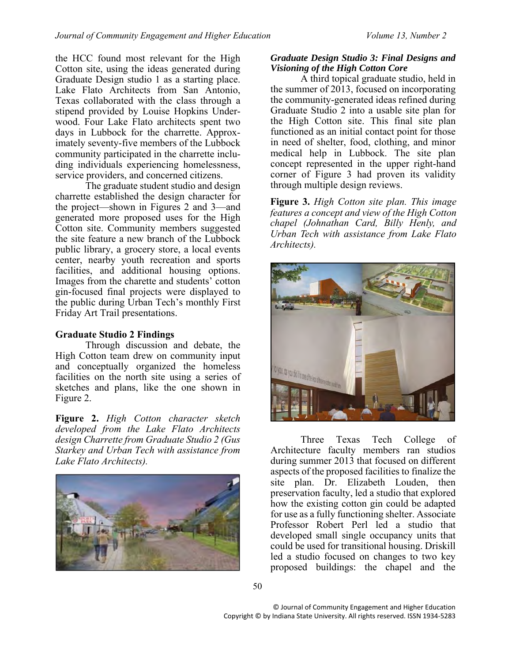the HCC found most relevant for the High Cotton site, using the ideas generated during Graduate Design studio 1 as a starting place. Lake Flato Architects from San Antonio, Texas collaborated with the class through a stipend provided by Louise Hopkins Underwood. Four Lake Flato architects spent two days in Lubbock for the charrette. Approximately seventy-five members of the Lubbock community participated in the charrette including individuals experiencing homelessness, service providers, and concerned citizens.

The graduate student studio and design charrette established the design character for the project—shown in Figures 2 and 3—and generated more proposed uses for the High Cotton site. Community members suggested the site feature a new branch of the Lubbock public library, a grocery store, a local events center, nearby youth recreation and sports facilities, and additional housing options. Images from the charette and students' cotton gin-focused final projects were displayed to the public during Urban Tech's monthly First Friday Art Trail presentations.

## **Graduate Studio 2 Findings**

Through discussion and debate, the High Cotton team drew on community input and conceptually organized the homeless facilities on the north site using a series of sketches and plans, like the one shown in Figure 2.

**Figure 2.** *High Cotton character sketch developed from the Lake Flato Architects design Charrette from Graduate Studio 2 (Gus Starkey and Urban Tech with assistance from Lake Flato Architects).*



## *Graduate Design Studio 3: Final Designs and Visioning of the High Cotton Core*

A third topical graduate studio, held in the summer of 2013, focused on incorporating the community-generated ideas refined during Graduate Studio 2 into a usable site plan for the High Cotton site. This final site plan functioned as an initial contact point for those in need of shelter, food, clothing, and minor medical help in Lubbock. The site plan concept represented in the upper right-hand corner of Figure 3 had proven its validity through multiple design reviews.

**Figure 3.** *High Cotton site plan. This image features a concept and view of the High Cotton chapel (Johnathan Card, Billy Henly, and Urban Tech with assistance from Lake Flato Architects).*



Three Texas Tech College of Architecture faculty members ran studios during summer 2013 that focused on different aspects of the proposed facilities to finalize the site plan. Dr. Elizabeth Louden, then preservation faculty, led a studio that explored how the existing cotton gin could be adapted for use as a fully functioning shelter. Associate Professor Robert Perl led a studio that developed small single occupancy units that could be used for transitional housing. Driskill led a studio focused on changes to two key proposed buildings: the chapel and the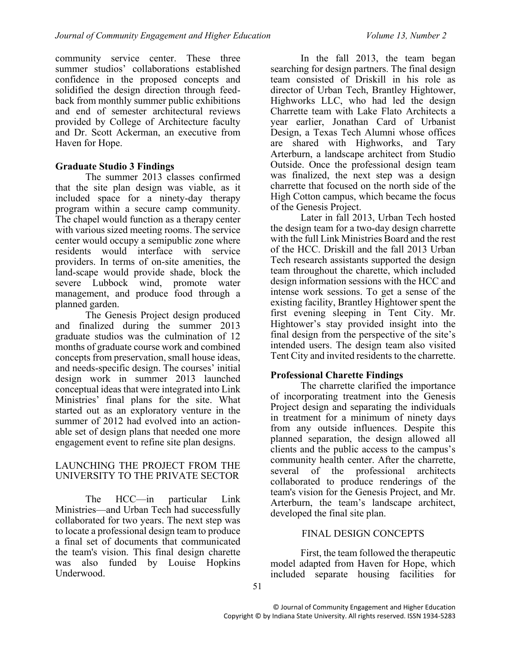community service center. These three summer studios' collaborations established confidence in the proposed concepts and solidified the design direction through feedback from monthly summer public exhibitions and end of semester architectural reviews provided by College of Architecture faculty and Dr. Scott Ackerman, an executive from Haven for Hope.

# **Graduate Studio 3 Findings**

The summer 2013 classes confirmed that the site plan design was viable, as it included space for a ninety-day therapy program within a secure camp community. The chapel would function as a therapy center with various sized meeting rooms. The service center would occupy a semipublic zone where residents would interface with service providers. In terms of on-site amenities, the land-scape would provide shade, block the severe Lubbock wind, promote water management, and produce food through a planned garden.

The Genesis Project design produced and finalized during the summer 2013 graduate studios was the culmination of 12 months of graduate course work and combined concepts from preservation, small house ideas, and needs-specific design. The courses' initial design work in summer 2013 launched conceptual ideas that were integrated into Link Ministries' final plans for the site. What started out as an exploratory venture in the summer of 2012 had evolved into an actionable set of design plans that needed one more engagement event to refine site plan designs.

## LAUNCHING THE PROJECT FROM THE UNIVERSITY TO THE PRIVATE SECTOR

The HCC—in particular Link Ministries—and Urban Tech had successfully collaborated for two years. The next step was to locate a professional design team to produce a final set of documents that communicated the team's vision. This final design charette was also funded by Louise Hopkins Underwood.

In the fall 2013, the team began searching for design partners. The final design team consisted of Driskill in his role as director of Urban Tech, Brantley Hightower, Highworks LLC, who had led the design Charrette team with Lake Flato Architects a year earlier, Jonathan Card of Urbanist Design, a Texas Tech Alumni whose offices are shared with Highworks, and Tary Arterburn, a landscape architect from Studio Outside. Once the professional design team was finalized, the next step was a design charrette that focused on the north side of the High Cotton campus, which became the focus of the Genesis Project.

Later in fall 2013, Urban Tech hosted the design team for a two-day design charrette with the full Link Ministries Board and the rest of the HCC. Driskill and the fall 2013 Urban Tech research assistants supported the design team throughout the charette, which included design information sessions with the HCC and intense work sessions. To get a sense of the existing facility, Brantley Hightower spent the first evening sleeping in Tent City. Mr. Hightower's stay provided insight into the final design from the perspective of the site's intended users. The design team also visited Tent City and invited residents to the charrette.

# **Professional Charette Findings**

The charrette clarified the importance of incorporating treatment into the Genesis Project design and separating the individuals in treatment for a minimum of ninety days from any outside influences. Despite this planned separation, the design allowed all clients and the public access to the campus's community health center. After the charrette, several of the professional architects collaborated to produce renderings of the team's vision for the Genesis Project, and Mr. Arterburn, the team's landscape architect, developed the final site plan.

# FINAL DESIGN CONCEPTS

First, the team followed the therapeutic model adapted from Haven for Hope, which included separate housing facilities for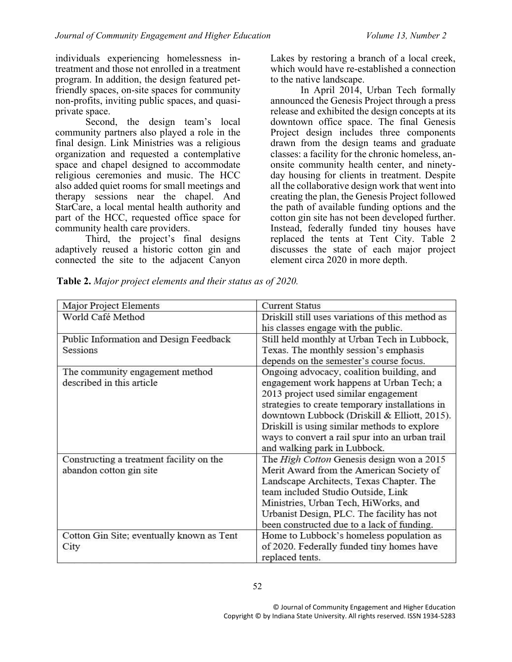individuals experiencing homelessness intreatment and those not enrolled in a treatment program. In addition, the design featured petfriendly spaces, on-site spaces for community non-profits, inviting public spaces, and quasiprivate space.

Second, the design team's local community partners also played a role in the final design. Link Ministries was a religious organization and requested a contemplative space and chapel designed to accommodate religious ceremonies and music. The HCC also added quiet rooms for small meetings and therapy sessions near the chapel. And StarCare, a local mental health authority and part of the HCC, requested office space for community health care providers.

Third, the project's final designs adaptively reused a historic cotton gin and connected the site to the adjacent Canyon

Lakes by restoring a branch of a local creek, which would have re-established a connection to the native landscape.

In April 2014, Urban Tech formally announced the Genesis Project through a press release and exhibited the design concepts at its downtown office space. The final Genesis Project design includes three components drawn from the design teams and graduate classes: a facility for the chronic homeless, anonsite community health center, and ninetyday housing for clients in treatment. Despite all the collaborative design work that went into creating the plan, the Genesis Project followed the path of available funding options and the cotton gin site has not been developed further. Instead, federally funded tiny houses have replaced the tents at Tent City. Table 2 discusses the state of each major project element circa 2020 in more depth.

| Table 2. Major project elements and their status as of 2020. |  |  |  |  |  |
|--------------------------------------------------------------|--|--|--|--|--|
|--------------------------------------------------------------|--|--|--|--|--|

| Major Project Elements                    | <b>Current Status</b>                            |  |  |
|-------------------------------------------|--------------------------------------------------|--|--|
| World Café Method                         | Driskill still uses variations of this method as |  |  |
|                                           | his classes engage with the public.              |  |  |
| Public Information and Design Feedback    | Still held monthly at Urban Tech in Lubbock,     |  |  |
| Sessions                                  | Texas. The monthly session's emphasis            |  |  |
|                                           | depends on the semester's course focus.          |  |  |
| The community engagement method           | Ongoing advocacy, coalition building, and        |  |  |
| described in this article                 | engagement work happens at Urban Tech; a         |  |  |
|                                           | 2013 project used similar engagement             |  |  |
|                                           | strategies to create temporary installations in  |  |  |
|                                           | downtown Lubbock (Driskill & Elliott, 2015).     |  |  |
|                                           | Driskill is using similar methods to explore     |  |  |
|                                           | ways to convert a rail spur into an urban trail  |  |  |
|                                           | and walking park in Lubbock.                     |  |  |
| Constructing a treatment facility on the  | The High Cotton Genesis design won a 2015        |  |  |
| abandon cotton gin site                   | Merit Award from the American Society of         |  |  |
|                                           | Landscape Architects, Texas Chapter. The         |  |  |
|                                           | team included Studio Outside, Link               |  |  |
|                                           | Ministries, Urban Tech, HiWorks, and             |  |  |
|                                           | Urbanist Design, PLC. The facility has not       |  |  |
|                                           | been constructed due to a lack of funding.       |  |  |
| Cotton Gin Site; eventually known as Tent | Home to Lubbock's homeless population as         |  |  |
| City                                      | of 2020. Federally funded tiny homes have        |  |  |
|                                           | replaced tents.                                  |  |  |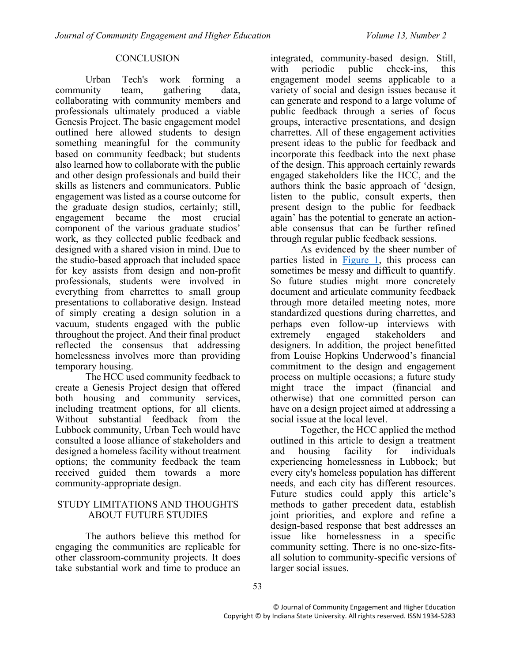## **CONCLUSION**

Urban Tech's work forming a community team, gathering data, collaborating with community members and professionals ultimately produced a viable Genesis Project. The basic engagement model outlined here allowed students to design something meaningful for the community based on community feedback; but students also learned how to collaborate with the public and other design professionals and build their skills as listeners and communicators. Public engagement was listed as a course outcome for the graduate design studios, certainly; still, engagement became the most crucial component of the various graduate studios' work, as they collected public feedback and designed with a shared vision in mind. Due to the studio-based approach that included space for key assists from design and non-profit professionals, students were involved in everything from charrettes to small group presentations to collaborative design. Instead of simply creating a design solution in a vacuum, students engaged with the public throughout the project. And their final product reflected the consensus that addressing homelessness involves more than providing temporary housing.

The HCC used community feedback to create a Genesis Project design that offered both housing and community services, including treatment options, for all clients. Without substantial feedback from the Lubbock community, Urban Tech would have consulted a loose alliance of stakeholders and designed a homeless facility without treatment options; the community feedback the team received guided them towards a more community-appropriate design.

## STUDY LIMITATIONS AND THOUGHTS ABOUT FUTURE STUDIES

The authors believe this method for engaging the communities are replicable for other classroom-community projects. It does take substantial work and time to produce an integrated, community-based design. Still, with periodic public check-ins, this engagement model seems applicable to a variety of social and design issues because it can generate and respond to a large volume of public feedback through a series of focus groups, interactive presentations, and design charrettes. All of these engagement activities present ideas to the public for feedback and incorporate this feedback into the next phase of the design. This approach certainly rewards engaged stakeholders like the HCC, and the authors think the basic approach of 'design, listen to the public, consult experts, then present design to the public for feedback again' has the potential to generate an actionable consensus that can be further refined through regular public feedback sessions.

As evidenced by the sheer number of parties listed in [Figure 1,](#page-3-0) this process can sometimes be messy and difficult to quantify. So future studies might more concretely document and articulate community feedback through more detailed meeting notes, more standardized questions during charrettes, and perhaps even follow-up interviews with extremely engaged stakeholders and designers. In addition, the project benefitted from Louise Hopkins Underwood's financial commitment to the design and engagement process on multiple occasions; a future study might trace the impact (financial and otherwise) that one committed person can have on a design project aimed at addressing a social issue at the local level.

Together, the HCC applied the method outlined in this article to design a treatment and housing facility for individuals experiencing homelessness in Lubbock; but every city's homeless population has different needs, and each city has different resources. Future studies could apply this article's methods to gather precedent data, establish joint priorities, and explore and refine a design-based response that best addresses an issue like homelessness in a specific community setting. There is no one-size-fitsall solution to community-specific versions of larger social issues.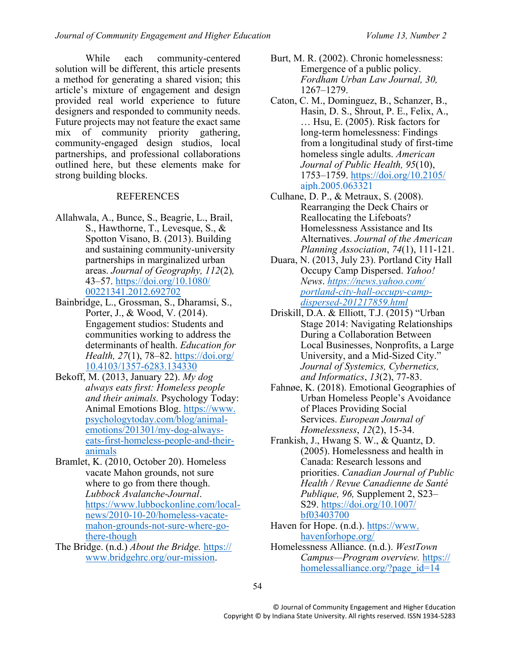While each community-centered solution will be different, this article presents a method for generating a shared vision; this article's mixture of engagement and design provided real world experience to future designers and responded to community needs. Future projects may not feature the exact same mix of community priority gathering, community-engaged design studios, local partnerships, and professional collaborations outlined here, but these elements make for strong building blocks.

## **REFERENCES**

- Allahwala, A., Bunce, S., Beagrie, L., Brail, S., Hawthorne, T., Levesque, S., & Spotton Visano, B. (2013). Building and sustaining community-university partnerships in marginalized urban areas. *Journal of Geography, 112*(2)*,*  43–57. [https://doi.org/10.1080/](https://doi.org/10.1080/%2000221341.2012.692702)  [00221341.2012.692702](https://doi.org/10.1080/%2000221341.2012.692702)
- Bainbridge, L., Grossman, S., Dharamsi, S., Porter, J., & Wood, V. (2014). Engagement studios: Students and communities working to address the determinants of health. *Education for Health, 27(1), 78–82.* https://doi.org/ [10.4103/1357-6283.134330](https://doi.org/%2010.4103/1357-6283.134330)
- Bekoff, M. (2013, January 22). *My dog always eats first: Homeless people and their animals.* Psychology Today: Animal Emotions Blog. https://www. psychologytoday.com/blog/animalemotions/201301/my-dog-alwayseats-first-homeless-people-and-theiranimals
- Bramlet, K. (2010, October 20). Homeless vacate Mahon grounds, not sure where to go from there though. *Lubbock Avalanche-Journal*. [https://www.lubbockonline.com/local](https://www.lubbockonline.com/local-news/2010-10-20/homeless-vacate-mahon-grounds-not-sure-where-go-there-though)[news/2010-10-20/homeless-vacate](https://www.lubbockonline.com/local-news/2010-10-20/homeless-vacate-mahon-grounds-not-sure-where-go-there-though)[mahon-grounds-not-sure-where-go](https://www.lubbockonline.com/local-news/2010-10-20/homeless-vacate-mahon-grounds-not-sure-where-go-there-though)[there-though](https://www.lubbockonline.com/local-news/2010-10-20/homeless-vacate-mahon-grounds-not-sure-where-go-there-though)
- The Bridge. (n.d.) *About the Bridge.* https:// www.bridgehrc.org/our-mission.
- Burt, M. R. (2002). Chronic homelessness: Emergence of a public policy. *Fordham Urban Law Journal, 30,*  1267–1279.
- Caton, C. M., Dominguez, B., Schanzer, B., Hasin, D. S., Shrout, P. E., Felix, A., … Hsu, E. (2005). Risk factors for long-term homelessness: Findings from a longitudinal study of first-time homeless single adults. *American Journal of Public Health, 95*(10), 1753–1759. [https://doi.org/10.2105/](https://doi.org/10.2105/ajph.2005.063321) [ajph.2005.063321](https://doi.org/10.2105/ajph.2005.063321)
- Culhane, D. P., & Metraux, S. (2008). Rearranging the Deck Chairs or Reallocating the Lifeboats? Homelessness Assistance and Its Alternatives. *Journal of the American Planning Association*, *74*(1), 111-121.
- Duara, N. (2013, July 23). Portland City Hall Occupy Camp Dispersed. *Yahoo! News*. *[https://news.yahoo.com/](https://news.yahoo.com/%20portland-city-hall-occupy-camp-dispersed-201217859.html)  [portland-city-hall-occupy-camp](https://news.yahoo.com/%20portland-city-hall-occupy-camp-dispersed-201217859.html)[dispersed-201217859.html](https://news.yahoo.com/%20portland-city-hall-occupy-camp-dispersed-201217859.html)*
- Driskill, D.A. & Elliott, T.J. (2015) "Urban Stage 2014: Navigating Relationships During a Collaboration Between Local Businesses, Nonprofits, a Large University, and a Mid-Sized City." *Journal of Systemics, Cybernetics, and Informatics*, *13*(2), 77-83.
- Fahnøe, K. (2018). Emotional Geographies of Urban Homeless People's Avoidance of Places Providing Social Services. *European Journal of Homelessness*, *12*(2), 15-34.
- Frankish, J., Hwang S. W., & Quantz, D. (2005). Homelessness and health in Canada: Research lessons and priorities. *Canadian Journal of Public Health / Revue Canadienne de Santé Publique, 96,* Supplement 2, S23– S29. [https://doi.org/10.1007/](https://doi.org/10.1007/%20bf03403700)  [bf03403700](https://doi.org/10.1007/%20bf03403700)
- Haven for Hope. (n.d.). https://www. havenforhope.org/
- Homelessness Alliance. (n.d.). *WestTown Campus—Program overview.* https:// homelessalliance.org/?page\_id=14